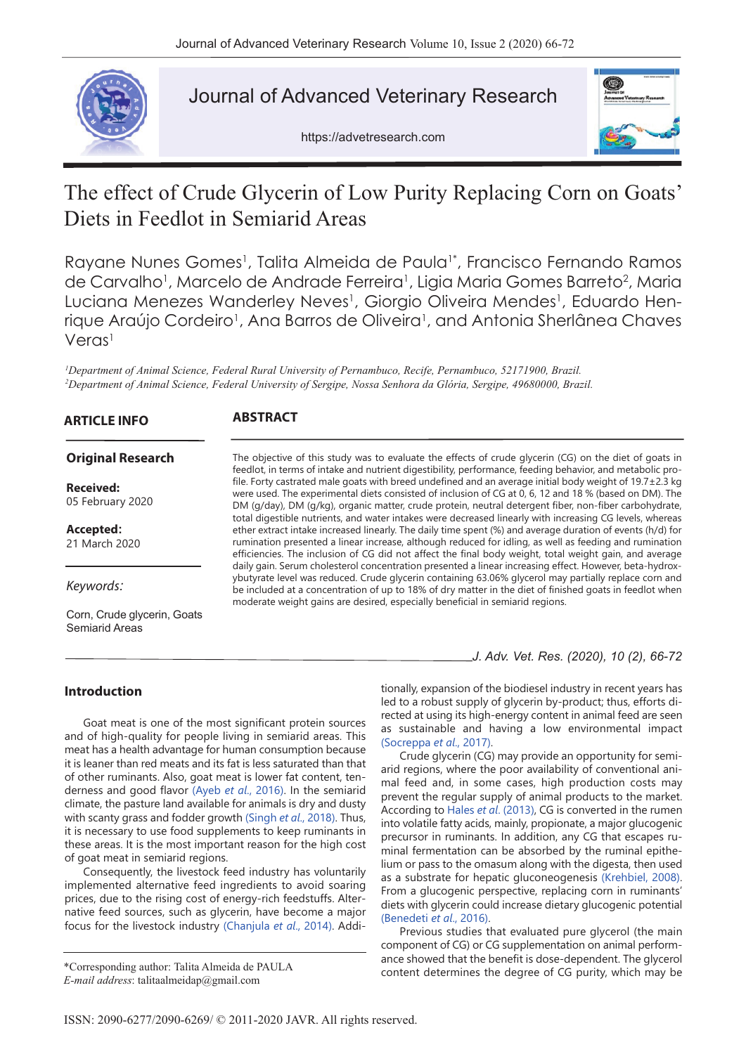

# Journal of Advanced Veterinary Research

https://advetresearch.com



# The effect of Crude Glycerin of Low Purity Replacing Corn on Goats' Diets in Feedlot in Semiarid Areas

Rayane Nunes Gomes<sup>1</sup>, Talita Almeida de Paula<sup>1</sup>\*, Francisco Fernando Ramos de Carvalho<sup>1</sup>, Marcelo de Andrade Ferreira<sup>1</sup>, Ligia Maria Gomes Barreto<sup>2</sup>, Maria Luciana Menezes Wanderley Neves<sup>1</sup>, Giorgio Oliveira Mendes<sup>1</sup>, Eduardo Henrique Araújo Cordeiro<sup>1</sup>, Ana Barros de Oliveira<sup>1</sup>, and Antonia Sherlânea Chaves Veras<sup>1</sup>

*1 Department of Animal Science, Federal Rural University of Pernambuco, Recife, Pernambuco, 52171900, Brazil.* <sup>2</sup>Department of Animal Science, Federal University of Sergipe, Nossa Senhora da Glória, Sergipe, 49680000, Brazil.

| <b>ARTICLE INFO</b>                           | <b>ABSTRACT</b>                                                                                                                                                                                                                                                                                                                                                                                                                               |
|-----------------------------------------------|-----------------------------------------------------------------------------------------------------------------------------------------------------------------------------------------------------------------------------------------------------------------------------------------------------------------------------------------------------------------------------------------------------------------------------------------------|
| <b>Original Research</b>                      | The objective of this study was to evaluate the effects of crude glycerin (CG) on the diet of goats in<br>feedlot, in terms of intake and nutrient digestibility, performance, feeding behavior, and metabolic pro-                                                                                                                                                                                                                           |
| <b>Received:</b><br>05 February 2020          | file. Forty castrated male goats with breed undefined and an average initial body weight of $19.7 \pm 2.3$ kg<br>were used. The experimental diets consisted of inclusion of CG at 0, 6, 12 and 18 % (based on DM). The<br>DM (g/day), DM (g/kg), organic matter, crude protein, neutral detergent fiber, non-fiber carbohydrate,<br>total digestible nutrients, and water intakes were decreased linearly with increasing CG levels, whereas |
| Accepted:<br>21 March 2020                    | ether extract intake increased linearly. The daily time spent (%) and average duration of events (h/d) for<br>rumination presented a linear increase, although reduced for idling, as well as feeding and rumination<br>efficiencies. The inclusion of CG did not affect the final body weight, total weight gain, and average<br>daily gain. Serum cholesterol concentration presented a linear increasing effect. However, beta-hydrox-     |
| Keywords:                                     | ybutyrate level was reduced. Crude glycerin containing 63.06% glycerol may partially replace corn and<br>be included at a concentration of up to 18% of dry matter in the diet of finished goats in feedlot when<br>moderate weight gains are desired, especially beneficial in semiarid regions.                                                                                                                                             |
| Corn, Crude glycerin, Goats<br>Semiarid Areas |                                                                                                                                                                                                                                                                                                                                                                                                                                               |

## **Introduction**

Goat meat is one of the most significant protein sources and of high-quality for people living in semiarid areas. This meat has a health advantage for human consumption because it is leaner than red meats and its fat is less saturated than that of other ruminants. Also, goat meat is lower fat content, tenderness and good flavor (Ayeb *et al*., 2016). In the semiarid climate, the pasture land available for animals is dry and dusty with scanty grass and fodder growth (Singh *et al*., 2018). Thus, it is necessary to use food supplements to keep ruminants in these areas. It is the most important reason for the high cost of goat meat in semiarid regions.

Consequently, the livestock feed industry has voluntarily implemented alternative feed ingredients to avoid soaring prices, due to the rising cost of energy-rich feedstuffs. Alternative feed sources, such as glycerin, have become a major focus for the livestock industry (Chanjula *et al*., 2014). Addi*J. Adv. Vet. Res. (2020), 10 (2), 66-72*

tionally, expansion of the biodiesel industry in recent years has led to a robust supply of glycerin by-product; thus, efforts directed at using its high-energy content in animal feed are seen as sustainable and having a low environmental impact (Socreppa *et al*., 2017).

Crude glycerin (CG) may provide an opportunity for semiarid regions, where the poor availability of conventional animal feed and, in some cases, high production costs may prevent the regular supply of animal products to the market. According to Hales *et al*. (2013), CG is converted in the rumen into volatile fatty acids, mainly, propionate, a major glucogenic precursor in ruminants. In addition, any CG that escapes ruminal fermentation can be absorbed by the ruminal epithelium or pass to the omasum along with the digesta, then used as a substrate for hepatic gluconeogenesis (Krehbiel, 2008). From a glucogenic perspective, replacing corn in ruminants' diets with glycerin could increase dietary glucogenic potential (Benedeti *et al*., 2016).

Previous studies that evaluated pure glycerol (the main component of CG) or CG supplementation on animal performance showed that the benefit is dose-dependent. The glycerol content determines the degree of CG purity, which may be \*Corresponding author: Talita Almeida de PAULA

*E-mail address*: talitaalmeidap@gmail.com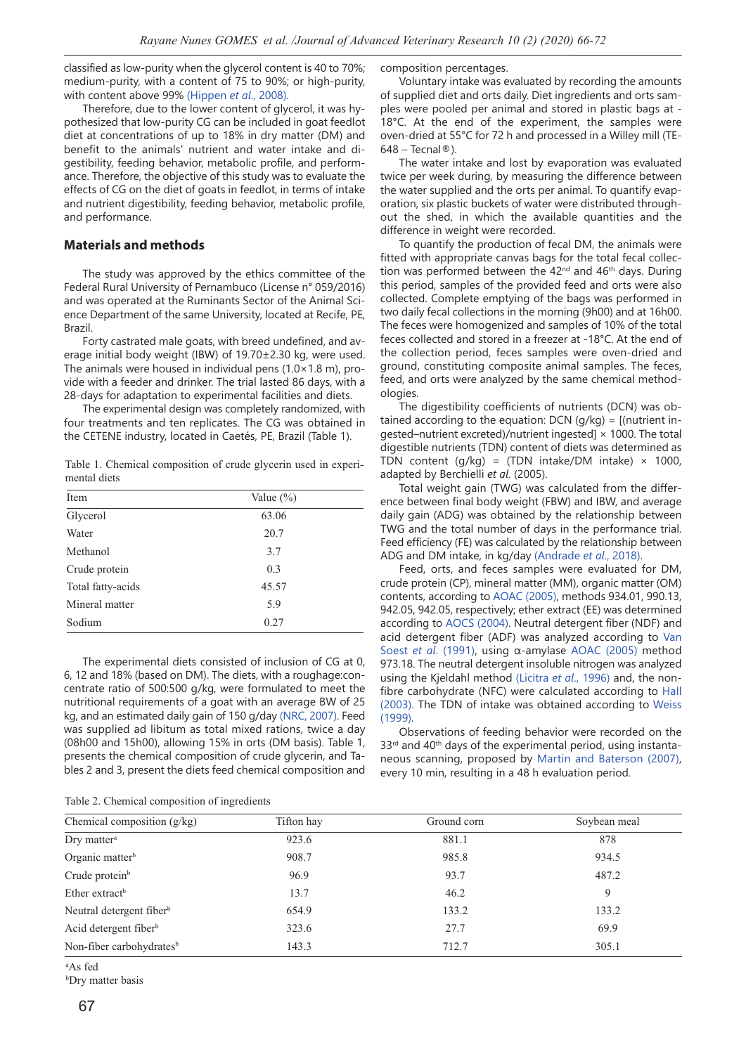classified as low-purity when the glycerol content is 40 to 70%; medium-purity, with a content of 75 to 90%; or high-purity, with content above 99% (Hippen *et al*., 2008).

Therefore, due to the lower content of glycerol, it was hypothesized that low-purity CG can be included in goat feedlot diet at concentrations of up to 18% in dry matter (DM) and benefit to the animals' nutrient and water intake and digestibility, feeding behavior, metabolic profile, and performance. Therefore, the objective of this study was to evaluate the effects of CG on the diet of goats in feedlot, in terms of intake and nutrient digestibility, feeding behavior, metabolic profile, and performance.

#### **Materials and methods**

The study was approved by the ethics committee of the Federal Rural University of Pernambuco (License n° 059/2016) and was operated at the Ruminants Sector of the Animal Science Department of the same University, located at Recife, PE, Brazil.

Forty castrated male goats, with breed undefined, and average initial body weight (IBW) of 19.70±2.30 kg, were used. The animals were housed in individual pens  $(1.0 \times 1.8 \text{ m})$ , provide with a feeder and drinker. The trial lasted 86 days, with a 28-days for adaptation to experimental facilities and diets.

The experimental design was completely randomized, with four treatments and ten replicates. The CG was obtained in the CETENE industry, located in Caetés, PE, Brazil (Table 1).

Table 1. Chemical composition of crude glycerin used in experimental diets

| <b>Item</b>       | Value $(\% )$ |  |
|-------------------|---------------|--|
| Glycerol          | 63.06         |  |
| Water             | 20.7          |  |
| Methanol          | 3.7           |  |
| Crude protein     | 0.3           |  |
| Total fatty-acids | 45.57         |  |
| Mineral matter    | 5.9           |  |
| Sodium            | 0.27          |  |

The experimental diets consisted of inclusion of CG at 0, 6, 12 and 18% (based on DM). The diets, with a roughage:concentrate ratio of 500:500 g/kg, were formulated to meet the nutritional requirements of a goat with an average BW of 25 kg, and an estimated daily gain of 150 g/day (NRC, 2007). Feed was supplied ad libitum as total mixed rations, twice a day (08h00 and 15h00), allowing 15% in orts (DM basis). Table 1, presents the chemical composition of crude glycerin, and Tables 2 and 3, present the diets feed chemical composition and

| Table 2. Chemical composition of ingredients |  |  |
|----------------------------------------------|--|--|
|----------------------------------------------|--|--|

composition percentages.

Voluntary intake was evaluated by recording the amounts of supplied diet and orts daily. Diet ingredients and orts samples were pooled per animal and stored in plastic bags at - 18°C. At the end of the experiment, the samples were oven-dried at 55°C for 72 h and processed in a Willey mill (TE- $648$  – Tecnal ®).

The water intake and lost by evaporation was evaluated twice per week during, by measuring the difference between the water supplied and the orts per animal. To quantify evaporation, six plastic buckets of water were distributed throughout the shed, in which the available quantities and the difference in weight were recorded.

To quantify the production of fecal DM, the animals were fitted with appropriate canvas bags for the total fecal collection was performed between the 42<sup>nd</sup> and 46<sup>th</sup> days. During this period, samples of the provided feed and orts were also collected. Complete emptying of the bags was performed in two daily fecal collections in the morning (9h00) and at 16h00. The feces were homogenized and samples of 10% of the total feces collected and stored in a freezer at -18°C. At the end of the collection period, feces samples were oven-dried and ground, constituting composite animal samples. The feces, feed, and orts were analyzed by the same chemical methodologies.

The digestibility coefficients of nutrients (DCN) was obtained according to the equation:  $DCN$  (g/kg) = [(nutrient ingested–nutrient excreted)/nutrient ingested]  $\times$  1000. The total digestible nutrients (TDN) content of diets was determined as TDN content  $(q/kg) = (TDN \int intake/DM \int intake) \times 1000$ , adapted by Berchielli *et al*. (2005).

Total weight gain (TWG) was calculated from the difference between final body weight (FBW) and IBW, and average daily gain (ADG) was obtained by the relationship between TWG and the total number of days in the performance trial. Feed efficiency (FE) was calculated by the relationship between ADG and DM intake, in kg/day (Andrade *et al*., 2018).

Feed, orts, and feces samples were evaluated for DM, crude protein (CP), mineral matter (MM), organic matter (OM) contents, according to AOAC (2005), methods 934.01, 990.13, 942.05, 942.05, respectively; ether extract (EE) was determined according to AOCS (2004). Neutral detergent fiber (NDF) and acid detergent fiber (ADF) was analyzed according to Van Soest *et al*. (1991), using α-amylase AOAC (2005) method 973.18. The neutral detergent insoluble nitrogen was analyzed using the Kjeldahl method (Licitra *et al*., 1996) and, the nonfibre carbohydrate (NFC) were calculated according to Hall (2003). The TDN of intake was obtained according to Weiss (1999).

Observations of feeding behavior were recorded on the 33<sup>rd</sup> and 40<sup>th</sup> days of the experimental period, using instantaneous scanning, proposed by Martin and Baterson (2007), every 10 min, resulting in a 48 h evaluation period.

| Chemical composition $(g/kg)$        | Tifton hay | Ground corn | Soybean meal |
|--------------------------------------|------------|-------------|--------------|
| $Dry$ matter <sup>a</sup>            | 923.6      | 881.1       | 878          |
| Organic matter <sup>b</sup>          | 908.7      | 985.8       | 934.5        |
| Crude protein <sup>b</sup>           | 96.9       | 93.7        | 487.2        |
| Ether extract <sup>b</sup>           | 13.7       | 46.2        | 9            |
| Neutral detergent fiber <sup>b</sup> | 654.9      | 133.2       | 133.2        |
| Acid detergent fiber <sup>b</sup>    | 323.6      | 27.7        | 69.9         |
| Non-fiber carbohydrates <sup>b</sup> | 143.3      | 712.7       | 305.1        |

a As fed

b Dry matter basis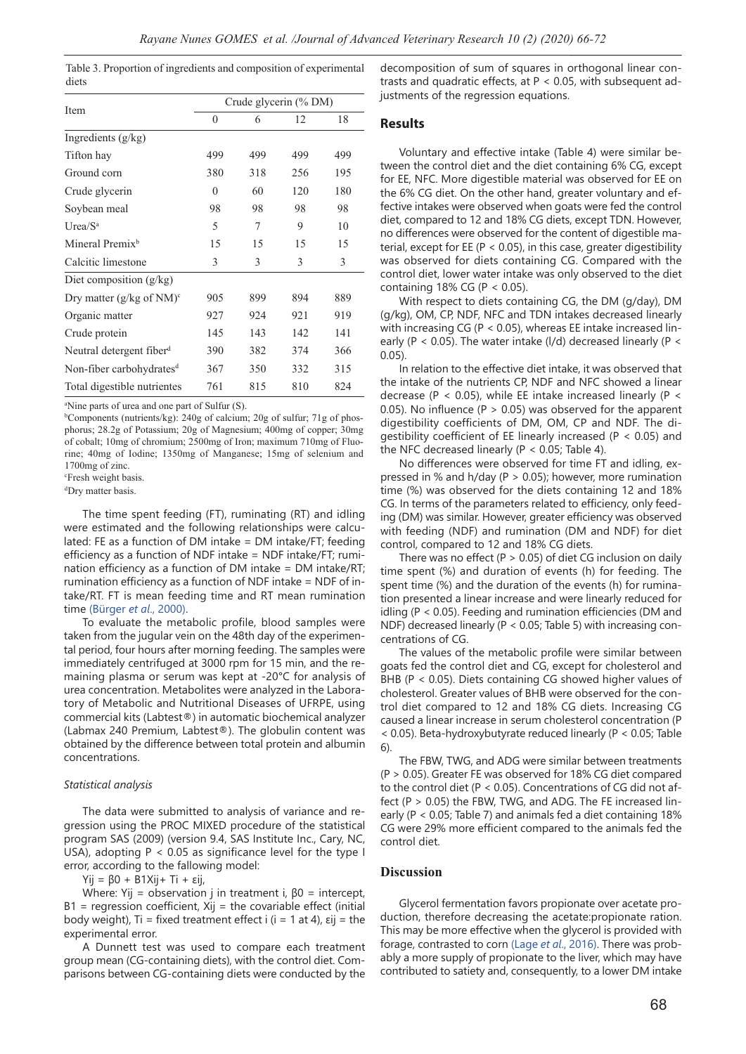Table 3. Proportion of ingredients and composition of experimental diets

|                                      | Crude glycerin (% DM) |     |     |     |  |  |  |
|--------------------------------------|-----------------------|-----|-----|-----|--|--|--|
| Item                                 | $\theta$              | 6   | 12  | 18  |  |  |  |
| Ingredients (g/kg)                   |                       |     |     |     |  |  |  |
| Tifton hay                           | 499                   | 499 | 499 | 499 |  |  |  |
| Ground corn                          | 380                   | 318 | 256 | 195 |  |  |  |
| Crude glycerin                       | $\theta$              | 60  | 120 | 180 |  |  |  |
| Soybean meal                         | 98                    | 98  | 98  | 98  |  |  |  |
| Urea/S <sup>a</sup>                  | 5                     | 7   | 9   | 10  |  |  |  |
| Mineral Premix <sup>b</sup>          | 15                    | 15  | 15  | 15  |  |  |  |
| Calcitic limestone                   | 3                     | 3   | 3   | 3   |  |  |  |
| Diet composition $(g/kg)$            |                       |     |     |     |  |  |  |
| Dry matter $(g/kg \text{ of } NM)^c$ | 905                   | 899 | 894 | 889 |  |  |  |
| Organic matter                       | 927                   | 924 | 921 | 919 |  |  |  |
| Crude protein                        | 145                   | 143 | 142 | 141 |  |  |  |
| Neutral detergent fiber <sup>d</sup> | 390                   | 382 | 374 | 366 |  |  |  |
| Non-fiber carbohydrates <sup>d</sup> | 367                   | 350 | 332 | 315 |  |  |  |
| Total digestible nutrientes          | 761                   | 815 | 810 | 824 |  |  |  |

a Nine parts of urea and one part of Sulfur (S).

b Components (nutrients/kg): 240g of calcium; 20g of sulfur; 71g of phosphorus; 28.2g of Potassium; 20g of Magnesium; 400mg of copper; 30mg of cobalt; 10mg of chromium; 2500mg of Iron; maximum 710mg of Fluorine; 40mg of Iodine; 1350mg of Manganese; 15mg of selenium and 1700mg of zinc.

c Fresh weight basis.

d Dry matter basis.

The time spent feeding (FT), ruminating (RT) and idling were estimated and the following relationships were calculated: FE as a function of DM intake = DM intake/FT; feeding efficiency as a function of NDF intake = NDF intake/FT; rumination efficiency as a function of DM intake =  $DM$  intake/RT; rumination efficiency as a function of NDF intake = NDF of intake/RT. FT is mean feeding time and RT mean rumination time (Bürger *et al*., 2000).

To evaluate the metabolic profile, blood samples were taken from the jugular vein on the 48th day of the experimental period, four hours after morning feeding. The samples were immediately centrifuged at 3000 rpm for 15 min, and the remaining plasma or serum was kept at -20°C for analysis of urea concentration. Metabolites were analyzed in the Laboratory of Metabolic and Nutritional Diseases of UFRPE, using commercial kits (Labtest®) in automatic biochemical analyzer (Labmax 240 Premium, Labtest®). The globulin content was obtained by the difference between total protein and albumin concentrations.

#### *Statistical analysis*

The data were submitted to analysis of variance and regression using the PROC MIXED procedure of the statistical program SAS (2009) (version 9.4, SAS Institute Inc., Cary, NC, USA), adopting  $P < 0.05$  as significance level for the type I error, according to the fallowing model:

Yij = β0 + Β1Xij+ Ti + εij,

Where: Yij = observation j in treatment i,  $β0 =$  intercept,  $B1$  = regression coefficient, Xij = the covariable effect (initial body weight), Ti = fixed treatment effect i  $(i = 1$  at 4),  $\varepsilon$ ij = the experimental error.

A Dunnett test was used to compare each treatment group mean (CG-containing diets), with the control diet. Comparisons between CG-containing diets were conducted by the

decomposition of sum of squares in orthogonal linear contrasts and quadratic effects, at P < 0.05, with subsequent adjustments of the regression equations.

## **Results**

Voluntary and effective intake (Table 4) were similar between the control diet and the diet containing 6% CG, except for EE, NFC. More digestible material was observed for EE on the 6% CG diet. On the other hand, greater voluntary and effective intakes were observed when goats were fed the control diet, compared to 12 and 18% CG diets, except TDN. However, no differences were observed for the content of digestible material, except for EE (P < 0.05), in this case, greater digestibility was observed for diets containing CG. Compared with the control diet, lower water intake was only observed to the diet containing 18% CG (P <  $0.05$ ).

With respect to diets containing CG, the DM (g/day), DM (g/kg), OM, CP, NDF, NFC and TDN intakes decreased linearly with increasing CG (P < 0.05), whereas EE intake increased linearly (P < 0.05). The water intake (I/d) decreased linearly (P < 0.05).

In relation to the effective diet intake, it was observed that the intake of the nutrients CP, NDF and NFC showed a linear decrease (P < 0.05), while EE intake increased linearly (P < 0.05). No influence ( $P > 0.05$ ) was observed for the apparent digestibility coefficients of DM, OM, CP and NDF. The digestibility coefficient of EE linearly increased (P < 0.05) and the NFC decreased linearly ( $P < 0.05$ ; Table 4).

No differences were observed for time FT and idling, expressed in % and h/day (P > 0.05); however, more rumination time (%) was observed for the diets containing 12 and 18% CG. In terms of the parameters related to efficiency, only feeding (DM) was similar. However, greater efficiency was observed with feeding (NDF) and rumination (DM and NDF) for diet control, compared to 12 and 18% CG diets.

There was no effect ( $P > 0.05$ ) of diet CG inclusion on daily time spent (%) and duration of events (h) for feeding. The spent time (%) and the duration of the events (h) for rumination presented a linear increase and were linearly reduced for idling (P < 0.05). Feeding and rumination efficiencies (DM and NDF) decreased linearly (P < 0.05; Table 5) with increasing concentrations of CG.

The values of the metabolic profile were similar between goats fed the control diet and CG, except for cholesterol and BHB (P < 0.05). Diets containing CG showed higher values of cholesterol. Greater values of BHB were observed for the control diet compared to 12 and 18% CG diets. Increasing CG caused a linear increase in serum cholesterol concentration (P < 0.05). Beta-hydroxybutyrate reduced linearly (P < 0.05; Table 6).

The FBW, TWG, and ADG were similar between treatments (P > 0.05). Greater FE was observed for 18% CG diet compared to the control diet (P < 0.05). Concentrations of CG did not affect (P > 0.05) the FBW, TWG, and ADG. The FE increased linearly (P < 0.05; Table 7) and animals fed a diet containing 18% CG were 29% more efficient compared to the animals fed the control diet.

#### **Discussion**

Glycerol fermentation favors propionate over acetate production, therefore decreasing the acetate:propionate ration. This may be more effective when the glycerol is provided with forage, contrasted to corn (Lage *et al*., 2016). There was probably a more supply of propionate to the liver, which may have contributed to satiety and, consequently, to a lower DM intake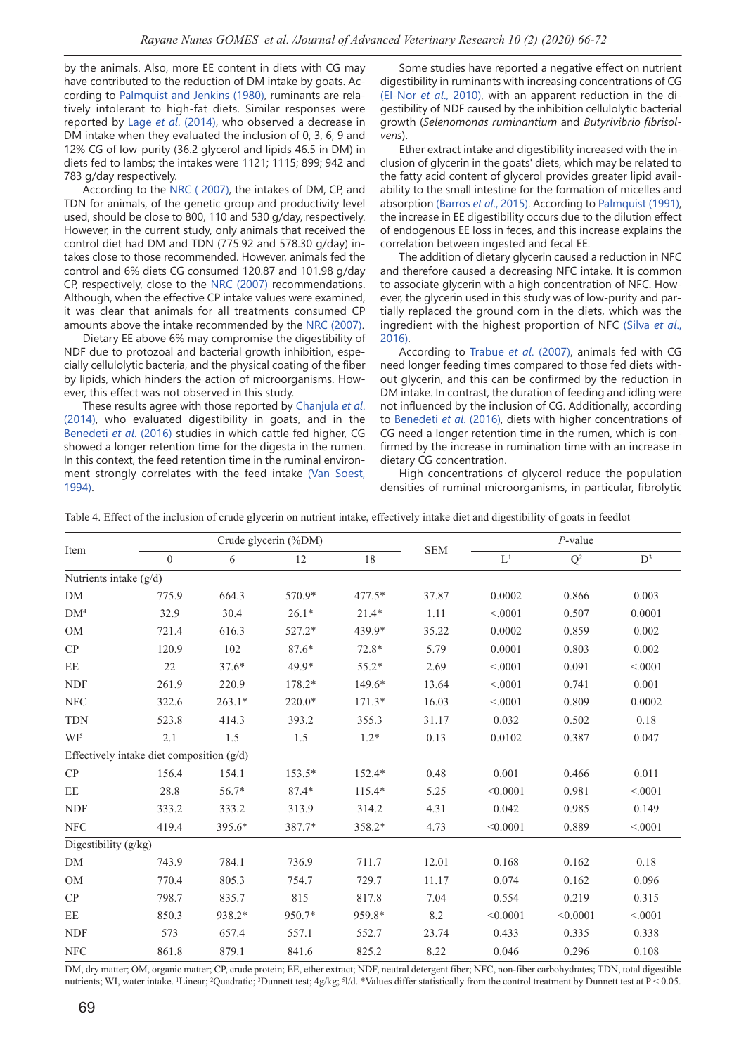by the animals. Also, more EE content in diets with CG may have contributed to the reduction of DM intake by goats. According to Palmquist and Jenkins (1980), ruminants are relatively intolerant to high-fat diets. Similar responses were reported by Lage *et al*. (2014), who observed a decrease in DM intake when they evaluated the inclusion of 0, 3, 6, 9 and 12% CG of low-purity (36.2 glycerol and lipids 46.5 in DM) in diets fed to lambs; the intakes were 1121; 1115; 899; 942 and 783 g/day respectively.

According to the NRC ( 2007), the intakes of DM, CP, and TDN for animals, of the genetic group and productivity level used, should be close to 800, 110 and 530 g/day, respectively. However, in the current study, only animals that received the control diet had DM and TDN (775.92 and 578.30 g/day) intakes close to those recommended. However, animals fed the control and 6% diets CG consumed 120.87 and 101.98 g/day CP, respectively, close to the NRC (2007) recommendations. Although, when the effective CP intake values were examined, it was clear that animals for all treatments consumed CP amounts above the intake recommended by the NRC (2007).

Dietary EE above 6% may compromise the digestibility of NDF due to protozoal and bacterial growth inhibition, especially cellulolytic bacteria, and the physical coating of the fiber by lipids, which hinders the action of microorganisms. However, this effect was not observed in this study.

These results agree with those reported by Chanjula *et al*. (2014), who evaluated digestibility in goats, and in the Benedeti *et al*. (2016) studies in which cattle fed higher, CG showed a longer retention time for the digesta in the rumen. In this context, the feed retention time in the ruminal environment strongly correlates with the feed intake (Van Soest, 1994).

Some studies have reported a negative effect on nutrient digestibility in ruminants with increasing concentrations of CG (El-Nor *et al*., 2010), with an apparent reduction in the digestibility of NDF caused by the inhibition cellulolytic bacterial growth (*Selenomonas ruminantium* and *Butyrivibrio fibrisolvens*).

Ether extract intake and digestibility increased with the inclusion of glycerin in the goats' diets, which may be related to the fatty acid content of glycerol provides greater lipid availability to the small intestine for the formation of micelles and absorption (Barros *et al*., 2015). According to Palmquist (1991), the increase in EE digestibility occurs due to the dilution effect of endogenous EE loss in feces, and this increase explains the correlation between ingested and fecal EE.

The addition of dietary glycerin caused a reduction in NFC and therefore caused a decreasing NFC intake. It is common to associate glycerin with a high concentration of NFC. However, the glycerin used in this study was of low-purity and partially replaced the ground corn in the diets, which was the ingredient with the highest proportion of NFC (Silva *et al*., 2016).

According to Trabue *et al*. (2007), animals fed with CG need longer feeding times compared to those fed diets without glycerin, and this can be confirmed by the reduction in DM intake. In contrast, the duration of feeding and idling were not influenced by the inclusion of CG. Additionally, according to Benedeti *et al*. (2016), diets with higher concentrations of CG need a longer retention time in the rumen, which is confirmed by the increase in rumination time with an increase in dietary CG concentration.

High concentrations of glycerol reduce the population densities of ruminal microorganisms, in particular, fibrolytic

|  |  | Table 4. Effect of the inclusion of crude glycerin on nutrient intake, effectively intake diet and digestibility of goats in feedlot |  |  |  |  |
|--|--|--------------------------------------------------------------------------------------------------------------------------------------|--|--|--|--|
|  |  |                                                                                                                                      |  |  |  |  |

| Item                     |                                             |          | Crude glycerin (%DM) |          |            | $P$ -value |                |                |  |
|--------------------------|---------------------------------------------|----------|----------------------|----------|------------|------------|----------------|----------------|--|
|                          | $\Omega$                                    | 6        | 12                   | 18       | <b>SEM</b> | $L^1$      | $\mathbf{Q}^2$ | $\mathbf{D}^3$ |  |
| Nutrients intake $(g/d)$ |                                             |          |                      |          |            |            |                |                |  |
| $DM$                     | 775.9                                       | 664.3    | 570.9*               | 477.5*   | 37.87      | 0.0002     | 0.866          | 0.003          |  |
| DM <sup>4</sup>          | 32.9                                        | 30.4     | $26.1*$              | $21.4*$  | 1.11       | < .0001    | 0.507          | 0.0001         |  |
| <b>OM</b>                | 721.4                                       | 616.3    | 527.2*               | 439.9*   | 35.22      | 0.0002     | 0.859          | 0.002          |  |
| CP                       | 120.9                                       | 102      | $87.6*$              | $72.8*$  | 5.79       | 0.0001     | 0.803          | 0.002          |  |
| EE                       | 22                                          | $37.6*$  | 49.9*                | $55.2*$  | 2.69       | < 0001     | 0.091          | < .0001        |  |
| <b>NDF</b>               | 261.9                                       | 220.9    | 178.2*               | 149.6*   | 13.64      | < .0001    | 0.741          | 0.001          |  |
| <b>NFC</b>               | 322.6                                       | $263.1*$ | 220.0*               | $171.3*$ | 16.03      | < 0.001    | 0.809          | 0.0002         |  |
| <b>TDN</b>               | 523.8                                       | 414.3    | 393.2                | 355.3    | 31.17      | 0.032      | 0.502          | 0.18           |  |
| WI <sup>5</sup>          | 2.1                                         | 1.5      | 1.5                  | $1.2*$   | 0.13       | 0.0102     | 0.387          | 0.047          |  |
|                          | Effectively intake diet composition $(g/d)$ |          |                      |          |            |            |                |                |  |
| CP                       | 156.4                                       | 154.1    | 153.5*               | 152.4*   | 0.48       | 0.001      | 0.466          | 0.011          |  |
| $\rm EE$                 | 28.8                                        | 56.7*    | $87.4*$              | $115.4*$ | 5.25       | < 0.0001   | 0.981          | < .0001        |  |
| <b>NDF</b>               | 333.2                                       | 333.2    | 313.9                | 314.2    | 4.31       | 0.042      | 0.985          | 0.149          |  |
| NFC                      | 419.4                                       | 395.6*   | 387.7*               | 358.2*   | 4.73       | < 0.0001   | 0.889          | < .0001        |  |
| Digestibility (g/kg)     |                                             |          |                      |          |            |            |                |                |  |
| $DM$                     | 743.9                                       | 784.1    | 736.9                | 711.7    | 12.01      | 0.168      | 0.162          | 0.18           |  |
| <b>OM</b>                | 770.4                                       | 805.3    | 754.7                | 729.7    | 11.17      | 0.074      | 0.162          | 0.096          |  |
| CP                       | 798.7                                       | 835.7    | 815                  | 817.8    | 7.04       | 0.554      | 0.219          | 0.315          |  |
| EE                       | 850.3                                       | 938.2*   | 950.7*               | 959.8*   | 8.2        | < 0.0001   | < 0.0001       | < .0001        |  |
| <b>NDF</b>               | 573                                         | 657.4    | 557.1                | 552.7    | 23.74      | 0.433      | 0.335          | 0.338          |  |
| NFC                      | 861.8                                       | 879.1    | 841.6                | 825.2    | 8.22       | 0.046      | 0.296          | 0.108          |  |

DM, dry matter; OM, organic matter; CP, crude protein; EE, ether extract; NDF, neutral detergent fiber; NFC, non-fiber carbohydrates; TDN, total digestible nutrients; WI, water intake. 'Linear; <sup>2</sup>Quadratic; <sup>3</sup>Dunnett test; 4g/kg; <sup>5</sup>l/d. \*Values differ statistically from the control treatment by Dunnett test at P < 0.05.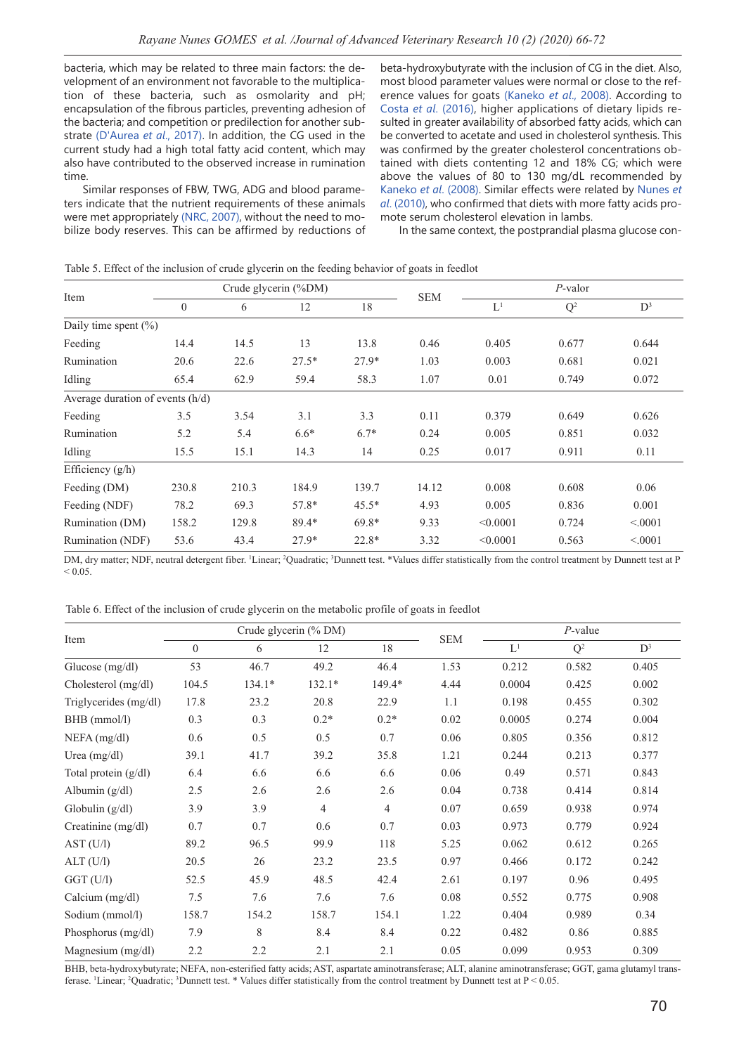bacteria, which may be related to three main factors: the development of an environment not favorable to the multiplication of these bacteria, such as osmolarity and pH; encapsulation of the fibrous particles, preventing adhesion of the bacteria; and competition or predilection for another substrate (D'Aurea *et al*., 2017). In addition, the CG used in the current study had a high total fatty acid content, which may also have contributed to the observed increase in rumination time.

Similar responses of FBW, TWG, ADG and blood parameters indicate that the nutrient requirements of these animals were met appropriately (NRC, 2007), without the need to mobilize body reserves. This can be affirmed by reductions of beta-hydroxybutyrate with the inclusion of CG in the diet. Also, most blood parameter values were normal or close to the reference values for goats (Kaneko *et al*., 2008). According to Costa *et al*. (2016), higher applications of dietary lipids resulted in greater availability of absorbed fatty acids, which can be converted to acetate and used in cholesterol synthesis. This was confirmed by the greater cholesterol concentrations obtained with diets contenting 12 and 18% CG; which were above the values of 80 to 130 mg/dL recommended by Kaneko *et al*. (2008). Similar effects were related by Nunes *et al*. (2010), who confirmed that diets with more fatty acids promote serum cholesterol elevation in lambs.

In the same context, the postprandial plasma glucose con-

| Item                               |          |       | Crude glycerin (%DM) |         |            | P-valor        |       |          |
|------------------------------------|----------|-------|----------------------|---------|------------|----------------|-------|----------|
|                                    | $\theta$ | 6     | 12                   | 18      | <b>SEM</b> | L <sup>1</sup> | $Q^2$ | $D^3$    |
| Daily time spent $(\%)$            |          |       |                      |         |            |                |       |          |
| Feeding                            | 14.4     | 14.5  | 13                   | 13.8    | 0.46       | 0.405          | 0.677 | 0.644    |
| Rumination                         | 20.6     | 22.6  | $27.5*$              | $27.9*$ | 1.03       | 0.003          | 0.681 | 0.021    |
| Idling                             | 65.4     | 62.9  | 59.4                 | 58.3    | 1.07       | 0.01           | 0.749 | 0.072    |
| Average duration of events $(h/d)$ |          |       |                      |         |            |                |       |          |
| Feeding                            | 3.5      | 3.54  | 3.1                  | 3.3     | 0.11       | 0.379          | 0.649 | 0.626    |
| Rumination                         | 5.2      | 5.4   | $6.6*$               | $6.7*$  | 0.24       | 0.005          | 0.851 | 0.032    |
| Idling                             | 15.5     | 15.1  | 14.3                 | 14      | 0.25       | 0.017          | 0.911 | 0.11     |
| Efficiency (g/h)                   |          |       |                      |         |            |                |       |          |
| Feeding (DM)                       | 230.8    | 210.3 | 184.9                | 139.7   | 14.12      | 0.008          | 0.608 | 0.06     |
| Feeding (NDF)                      | 78.2     | 69.3  | 57.8*                | $45.5*$ | 4.93       | 0.005          | 0.836 | 0.001    |
| Rumination (DM)                    | 158.2    | 129.8 | 89.4*                | $69.8*$ | 9.33       | < 0.0001       | 0.724 | < 0.0001 |
| Rumination (NDF)                   | 53.6     | 43.4  | $27.9*$              | 22.8*   | 3.32       | < 0.0001       | 0.563 | < 0.001  |

Table 5. Effect of the inclusion of crude glycerin on the feeding behavior of goats in feedlot

DM, dry matter; NDF, neutral detergent fiber. <sup>1</sup>Linear; <sup>2</sup>Quadratic; <sup>3</sup>Dunnett test. \*Values differ statistically from the control treatment by Dunnett test at P  $< 0.05$ .

Table 6. Effect of the inclusion of crude glycerin on the metabolic profile of goats in feedlot

| Item                   |              |          | Crude glycerin (% DM)  |                |      | $P$ -value |       |       |
|------------------------|--------------|----------|------------------------|----------------|------|------------|-------|-------|
|                        | $\mathbf{0}$ | 6        | <b>SEM</b><br>18<br>12 |                |      | $L^1$      | $Q^2$ | $D^3$ |
| Glucose $(mg/dl)$      | 53           | 46.7     | 49.2                   | 46.4           | 1.53 | 0.212      | 0.582 | 0.405 |
| Cholesterol (mg/dl)    | 104.5        | $134.1*$ | $132.1*$               | 149.4*         | 4.44 | 0.0004     | 0.425 | 0.002 |
| Triglycerides (mg/dl)  | 17.8         | 23.2     | 20.8                   | 22.9           | 1.1  | 0.198      | 0.455 | 0.302 |
| BHB (mmol/l)           | 0.3          | 0.3      | $0.2*$                 | $0.2*$         | 0.02 | 0.0005     | 0.274 | 0.004 |
| $NEFA$ (mg/dl)         | 0.6          | 0.5      | 0.5                    | 0.7            | 0.06 | 0.805      | 0.356 | 0.812 |
| Urea $(mg/dl)$         | 39.1         | 41.7     | 39.2                   | 35.8           | 1.21 | 0.244      | 0.213 | 0.377 |
| Total protein $(g/dl)$ | 6.4          | 6.6      | 6.6                    | 6.6            | 0.06 | 0.49       | 0.571 | 0.843 |
| Albumin $(g/dl)$       | 2.5          | 2.6      | 2.6                    | 2.6            | 0.04 | 0.738      | 0.414 | 0.814 |
| Globulin $(g/dl)$      | 3.9          | 3.9      | $\overline{4}$         | $\overline{4}$ | 0.07 | 0.659      | 0.938 | 0.974 |
| Creatinine $(mg/dl)$   | 0.7          | 0.7      | 0.6                    | 0.7            | 0.03 | 0.973      | 0.779 | 0.924 |
| AST (U/I)              | 89.2         | 96.5     | 99.9                   | 118            | 5.25 | 0.062      | 0.612 | 0.265 |
| ALT (U/l)              | 20.5         | 26       | 23.2                   | 23.5           | 0.97 | 0.466      | 0.172 | 0.242 |
| GGT (U/I)              | 52.5         | 45.9     | 48.5                   | 42.4           | 2.61 | 0.197      | 0.96  | 0.495 |
| Calcium $(mg/dl)$      | 7.5          | 7.6      | 7.6                    | 7.6            | 0.08 | 0.552      | 0.775 | 0.908 |
| Sodium (mmol/l)        | 158.7        | 154.2    | 158.7                  | 154.1          | 1.22 | 0.404      | 0.989 | 0.34  |
| Phosphorus (mg/dl)     | 7.9          | 8        | 8.4                    | 8.4            | 0.22 | 0.482      | 0.86  | 0.885 |
| Magnesium $(mg/dl)$    | 2.2          | 2.2      | 2.1                    | 2.1            | 0.05 | 0.099      | 0.953 | 0.309 |

BHB, beta-hydroxybutyrate; NEFA, non-esterified fatty acids; AST, aspartate aminotransferase; ALT, alanine aminotransferase; GGT, gama glutamyl transferase. <sup>1</sup>Linear; <sup>2</sup>Quadratic; <sup>3</sup>Dunnett test. \* Values differ statistically from the control treatment by Dunnett test at P < 0.05.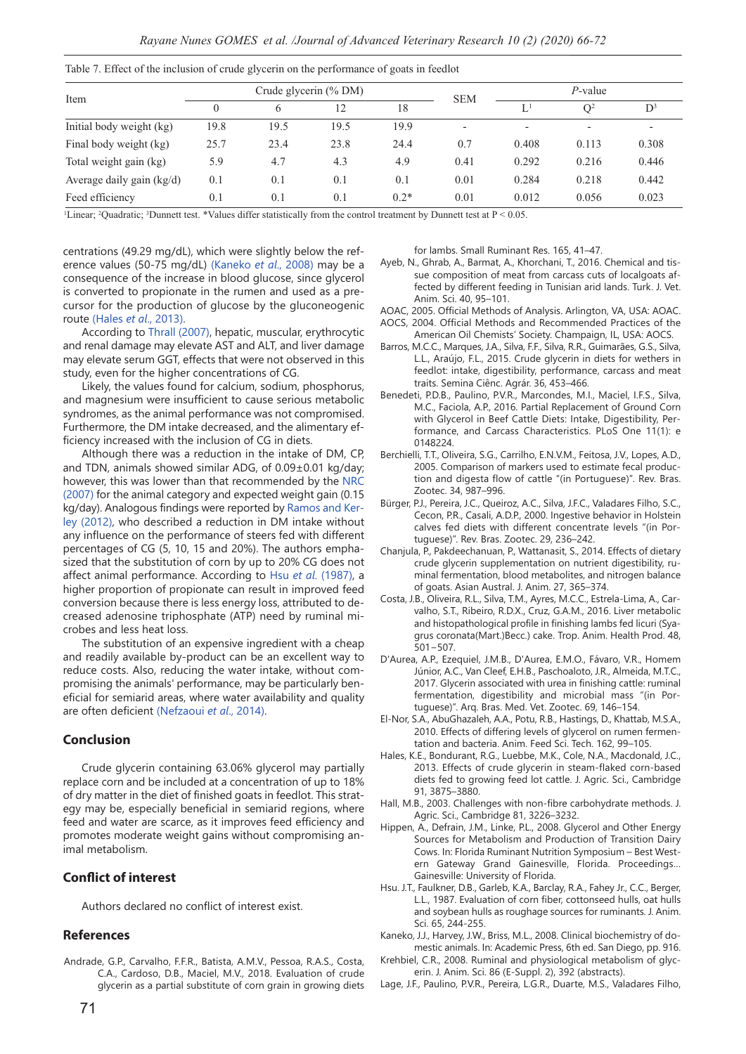|  |  |  | Table 7. Effect of the inclusion of crude glycerin on the performance of goats in feedlot |  |  |
|--|--|--|-------------------------------------------------------------------------------------------|--|--|
|  |  |  |                                                                                           |  |  |

|                             |      |      | Crude glycerin (% DM) |        |                          | $P$ -value     |                          |       |  |
|-----------------------------|------|------|-----------------------|--------|--------------------------|----------------|--------------------------|-------|--|
| Item                        |      | 6    | 12                    | 18     | <b>SEM</b>               | L <sup>1</sup> | O <sup>2</sup>           | $D^3$ |  |
| Initial body weight (kg)    | 19.8 | 19.5 | 19.5                  | 19.9   | $\overline{\phantom{a}}$ |                | $\overline{\phantom{a}}$ |       |  |
| Final body weight (kg)      | 25.7 | 23.4 | 23.8                  | 24.4   | 0.7                      | 0.408          | 0.113                    | 0.308 |  |
| Total weight gain (kg)      | 5.9  | 4.7  | 4.3                   | 4.9    | 0.41                     | 0.292          | 0.216                    | 0.446 |  |
| Average daily gain $(kg/d)$ | 0.1  | 0.1  | 0.1                   | 0.1    | 0.01                     | 0.284          | 0.218                    | 0.442 |  |
| Feed efficiency             | 0.1  | 0.1  | 0.1                   | $0.2*$ | 0.01                     | 0.012          | 0.056                    | 0.023 |  |

<sup>1</sup>Linear; <sup>2</sup>Quadratic; <sup>3</sup>Dunnett test. \*Values differ statistically from the control treatment by Dunnett test at  $P < 0.05$ .

centrations (49.29 mg/dL), which were slightly below the reference values (50-75 mg/dL) (Kaneko *et al*., 2008) may be a consequence of the increase in blood glucose, since glycerol is converted to propionate in the rumen and used as a precursor for the production of glucose by the gluconeogenic route (Hales *et al*., 2013).

According to Thrall (2007), hepatic, muscular, erythrocytic and renal damage may elevate AST and ALT, and liver damage may elevate serum GGT, effects that were not observed in this study, even for the higher concentrations of CG.

Likely, the values found for calcium, sodium, phosphorus, and magnesium were insufficient to cause serious metabolic syndromes, as the animal performance was not compromised. Furthermore, the DM intake decreased, and the alimentary efficiency increased with the inclusion of CG in diets.

Although there was a reduction in the intake of DM, CP, and TDN, animals showed similar ADG, of 0.09±0.01 kg/day; however, this was lower than that recommended by the NRC (2007) for the animal category and expected weight gain (0.15 kg/day). Analogous findings were reported by Ramos and Kerley (2012), who described a reduction in DM intake without any influence on the performance of steers fed with different percentages of CG (5, 10, 15 and 20%). The authors emphasized that the substitution of corn by up to 20% CG does not affect animal performance. According to Hsu *et al*. (1987), a higher proportion of propionate can result in improved feed conversion because there is less energy loss, attributed to decreased adenosine triphosphate (ATP) need by ruminal microbes and less heat loss.

The substitution of an expensive ingredient with a cheap and readily available by-product can be an excellent way to reduce costs. Also, reducing the water intake, without compromising the animals' performance, may be particularly beneficial for semiarid areas, where water availability and quality are often deficient (Nefzaoui *et al*., 2014).

#### **Conclusion**

Crude glycerin containing 63.06% glycerol may partially replace corn and be included at a concentration of up to 18% of dry matter in the diet of finished goats in feedlot. This strategy may be, especially beneficial in semiarid regions, where feed and water are scarce, as it improves feed efficiency and promotes moderate weight gains without compromising animal metabolism.

#### **Conflict of interest**

Authors declared no conflict of interest exist.

#### **References**

Andrade, G.P., Carvalho, F.F.R., Batista, A.M.V., Pessoa, R.A.S., Costa, C.A., Cardoso, D.B., Maciel, M.V., 2018. Evaluation of crude glycerin as a partial substitute of corn grain in growing diets for lambs. Small Ruminant Res. 165, 41–47.

- Ayeb, N., Ghrab, A., Barmat, A., Khorchani, T., 2016. Chemical and tissue composition of meat from carcass cuts of localgoats affected by different feeding in Tunisian arid lands. Turk. J. Vet. Anim. Sci. 40, 95–101.
- AOAC, 2005. Official Methods of Analysis. Arlington, VA, USA: AOAC. AOCS, 2004. Official Methods and Recommended Practices of the
- American Oil Chemists' Society. Champaign, IL, USA: AOCS. Barros, M.C.C., Marques, J.A., Silva, F.F., Silva, R.R., Guimarães, G.S., Silva, L.L., Araújo, F.L., 2015. Crude glycerin in diets for wethers in feedlot: intake, digestibility, performance, carcass and meat traits. Semina Ciênc. Agrár. 36, 453–466.
- Benedeti, P.D.B., Paulino, P.V.R., Marcondes, M.I., Maciel, I.F.S., Silva, M.C., Faciola, A.P., 2016. Partial Replacement of Ground Corn with Glycerol in Beef Cattle Diets: Intake, Digestibility, Performance, and Carcass Characteristics. PLoS One 11(1): e 0148224.
- Berchielli, T.T., Oliveira, S.G., Carrilho, E.N.V.M., Feitosa, J.V., Lopes, A.D., 2005. Comparison of markers used to estimate fecal production and digesta flow of cattle "(in Portuguese)". Rev. Bras. Zootec. 34, 987–996.
- Bürger, P.J., Pereira, J.C., Queiroz, A.C., Silva, J.F.C., Valadares Filho, S.C., Cecon, P.R., Casali, A.D.P., 2000. Ingestive behavior in Holstein calves fed diets with different concentrate levels "(in Portuguese)''. Rev. Bras. Zootec. 29, 236–242.
- Chanjula, P., Pakdeechanuan, P., Wattanasit, S., 2014. Effects of dietary crude glycerin supplementation on nutrient digestibility, ruminal fermentation, blood metabolites, and nitrogen balance of goats. Asian Austral. J. Anim. 27, 365–374.
- Costa, J.B., Oliveira, R.L., Silva, T.M., Ayres, M.C.C., Estrela-Lima, A., Carvalho, S.T., Ribeiro, R.D.X., Cruz, G.A.M., 2016. Liver metabolic and histopathological profile in finishing lambs fed licuri (Syagrus coronata(Mart.)Becc.) cake. Trop. Anim. Health Prod. 48, 501−507.
- D'Aurea, A.P., Ezequiel, J.M.B., D'Aurea, E.M.O., Fávaro, V.R., Homem Júnior, A.C., Van Cleef, E.H.B., Paschoaloto, J.R., Almeida, M.T.C., 2017. Glycerin associated with urea in finishing cattle: ruminal fermentation, digestibility and microbial mass "(in Portuguese)". Arq. Bras. Med. Vet. Zootec. 69, 146–154.
- El-Nor, S.A., AbuGhazaleh, A.A., Potu, R.B., Hastings, D., Khattab, M.S.A., 2010. Effects of differing levels of glycerol on rumen fermentation and bacteria. Anim. Feed Sci. Tech. 162, 99–105.
- Hales, K.E., Bondurant, R.G., Luebbe, M.K., Cole, N.A., Macdonald, J.C., 2013. Effects of crude glycerin in steam-flaked corn-based diets fed to growing feed lot cattle. J. Agric. Sci., Cambridge 91, 3875–3880.
- Hall, M.B., 2003. Challenges with non-fibre carbohydrate methods. J. Agric. Sci., Cambridge 81, 3226–3232.
- Hippen, A., Defrain, J.M., Linke, P.L., 2008. Glycerol and Other Energy Sources for Metabolism and Production of Transition Dairy Cows. In: Florida Ruminant Nutrition Symposium – Best Western Gateway Grand Gainesville, Florida. Proceedings… Gainesville: University of Florida.
- Hsu. J.T., Faulkner, D.B., Garleb, K.A., Barclay, R.A., Fahey Jr., C.C., Berger, L.L., 1987. Evaluation of corn fiber, cottonseed hulls, oat hulls and soybean hulls as roughage sources for ruminants. J. Anim. Sci. 65, 244-255.
- Kaneko, J.J., Harvey, J.W., Briss, M.L., 2008. Clinical biochemistry of domestic animals. In: Academic Press, 6th ed. San Diego, pp. 916.
- Krehbiel, C.R., 2008. Ruminal and physiological metabolism of glycerin. J. Anim. Sci. 86 (E-Suppl. 2), 392 (abstracts).
- Lage, J.F., Paulino, P.V.R., Pereira, L.G.R., Duarte, M.S., Valadares Filho,